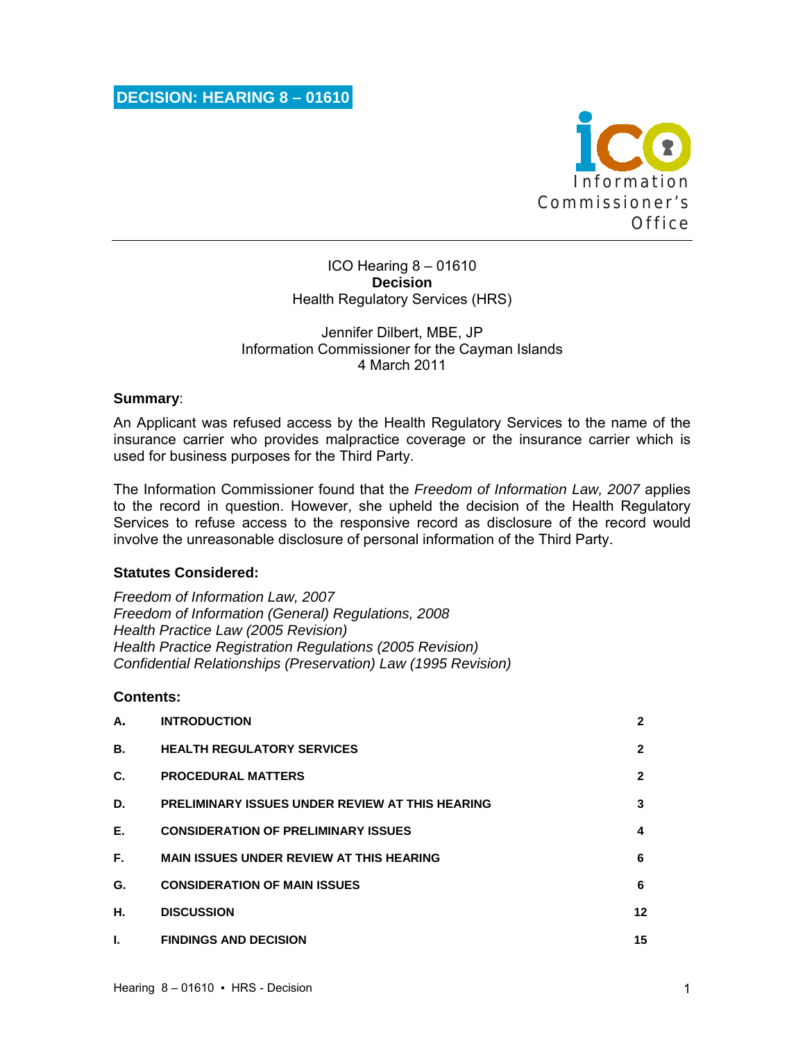

ICO Hearing 8 – 01610 **Decision**  Health Regulatory Services (HRS)

## Jennifer Dilbert, MBE, JP Information Commissioner for the Cayman Islands 4 March 2011

### **Summary**:

An Applicant was refused access by the Health Regulatory Services to the name of the insurance carrier who provides malpractice coverage or the insurance carrier which is used for business purposes for the Third Party.

The Information Commissioner found that the *Freedom of Information Law, 2007* applies to the record in question. However, she upheld the decision of the Health Regulatory Services to refuse access to the responsive record as disclosure of the record would involve the unreasonable disclosure of personal information of the Third Party.

### **Statutes Considered:**

*Freedom of Information Law, 2007 Freedom of Information (General) Regulations, 2008 Health Practice Law (2005 Revision) Health Practice Registration Regulations (2005 Revision) Confidential Relationships (Preservation) Law (1995 Revision)* 

### **Contents:**

| А. | <b>INTRODUCTION</b>                                    | 2            |
|----|--------------------------------------------------------|--------------|
| В. | <b>HEALTH REGULATORY SERVICES</b>                      | $\mathbf{2}$ |
| C. | <b>PROCEDURAL MATTERS</b>                              | $\mathbf{2}$ |
| D. | <b>PRELIMINARY ISSUES UNDER REVIEW AT THIS HEARING</b> | 3            |
| Е. | <b>CONSIDERATION OF PRELIMINARY ISSUES</b>             | 4            |
| F. | <b>MAIN ISSUES UNDER REVIEW AT THIS HEARING</b>        | 6            |
| G. | <b>CONSIDERATION OF MAIN ISSUES</b>                    | 6            |
| Н. | <b>DISCUSSION</b>                                      | 12           |
| L  | <b>FINDINGS AND DECISION</b>                           | 15           |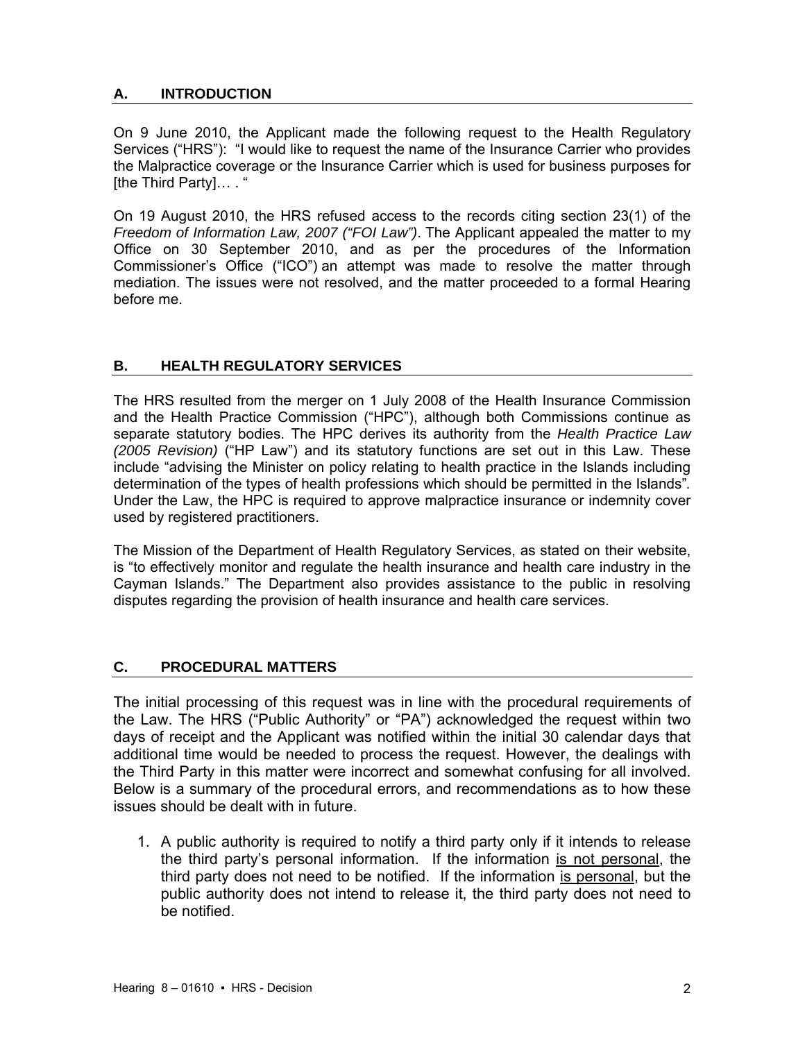# **A. INTRODUCTION**

On 9 June 2010, the Applicant made the following request to the Health Regulatory Services ("HRS"): "I would like to request the name of the Insurance Carrier who provides the Malpractice coverage or the Insurance Carrier which is used for business purposes for [the Third Party]... . "

On 19 August 2010, the HRS refused access to the records citing section 23(1) of the *Freedom of Information Law, 2007 ("FOI Law")*. The Applicant appealed the matter to my Office on 30 September 2010, and as per the procedures of the Information Commissioner's Office ("ICO") an attempt was made to resolve the matter through mediation. The issues were not resolved, and the matter proceeded to a formal Hearing before me.

## **B. HEALTH REGULATORY SERVICES**

The HRS resulted from the merger on 1 July 2008 of the Health Insurance Commission and the Health Practice Commission ("HPC"), although both Commissions continue as separate statutory bodies. The HPC derives its authority from the *Health Practice Law (2005 Revision)* ("HP Law") and its statutory functions are set out in this Law. These include "advising the Minister on policy relating to health practice in the Islands including determination of the types of health professions which should be permitted in the Islands"*.*  Under the Law, the HPC is required to approve malpractice insurance or indemnity cover used by registered practitioners.

The Mission of the Department of Health Regulatory Services, as stated on their website, is "to effectively monitor and regulate the health insurance and health care industry in the Cayman Islands." The Department also provides assistance to the public in resolving disputes regarding the provision of health insurance and health care services.

## **C. PROCEDURAL MATTERS**

The initial processing of this request was in line with the procedural requirements of the Law. The HRS ("Public Authority" or "PA") acknowledged the request within two days of receipt and the Applicant was notified within the initial 30 calendar days that additional time would be needed to process the request. However, the dealings with the Third Party in this matter were incorrect and somewhat confusing for all involved. Below is a summary of the procedural errors, and recommendations as to how these issues should be dealt with in future.

1. A public authority is required to notify a third party only if it intends to release the third party's personal information. If the information is not personal, the third party does not need to be notified. If the information is personal, but the public authority does not intend to release it, the third party does not need to be notified.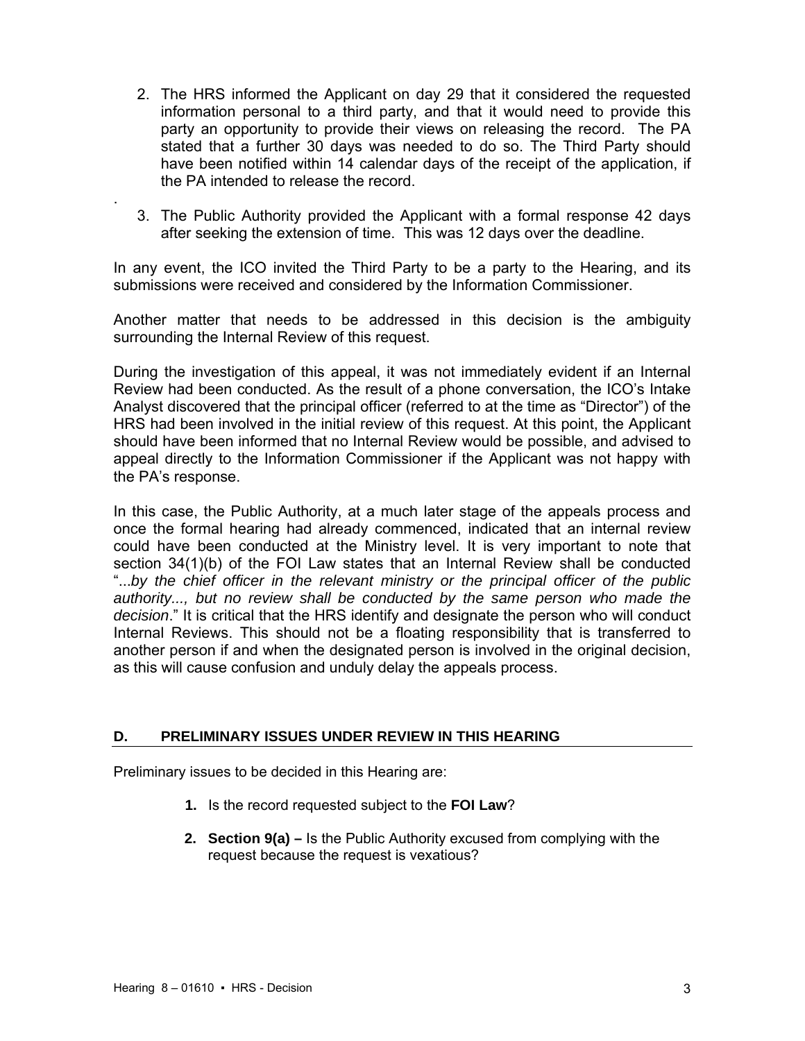- 2. The HRS informed the Applicant on day 29 that it considered the requested information personal to a third party, and that it would need to provide this party an opportunity to provide their views on releasing the record. The PA stated that a further 30 days was needed to do so. The Third Party should have been notified within 14 calendar days of the receipt of the application, if the PA intended to release the record.
- 3. The Public Authority provided the Applicant with a formal response 42 days after seeking the extension of time. This was 12 days over the deadline.

In any event, the ICO invited the Third Party to be a party to the Hearing, and its submissions were received and considered by the Information Commissioner.

Another matter that needs to be addressed in this decision is the ambiguity surrounding the Internal Review of this request.

During the investigation of this appeal, it was not immediately evident if an Internal Review had been conducted. As the result of a phone conversation, the ICO's Intake Analyst discovered that the principal officer (referred to at the time as "Director") of the HRS had been involved in the initial review of this request. At this point, the Applicant should have been informed that no Internal Review would be possible, and advised to appeal directly to the Information Commissioner if the Applicant was not happy with the PA's response.

In this case, the Public Authority, at a much later stage of the appeals process and once the formal hearing had already commenced, indicated that an internal review could have been conducted at the Ministry level. It is very important to note that section 34(1)(b) of the FOI Law states that an Internal Review shall be conducted "...*by the chief officer in the relevant ministry or the principal officer of the public authority..., but no review shall be conducted by the same person who made the decision*." It is critical that the HRS identify and designate the person who will conduct Internal Reviews. This should not be a floating responsibility that is transferred to another person if and when the designated person is involved in the original decision, as this will cause confusion and unduly delay the appeals process.

## **D. PRELIMINARY ISSUES UNDER REVIEW IN THIS HEARING**

Preliminary issues to be decided in this Hearing are:

- **1.** Is the record requested subject to the **FOI Law**?
- **2. Section 9(a)** Is the Public Authority excused from complying with the request because the request is vexatious?

.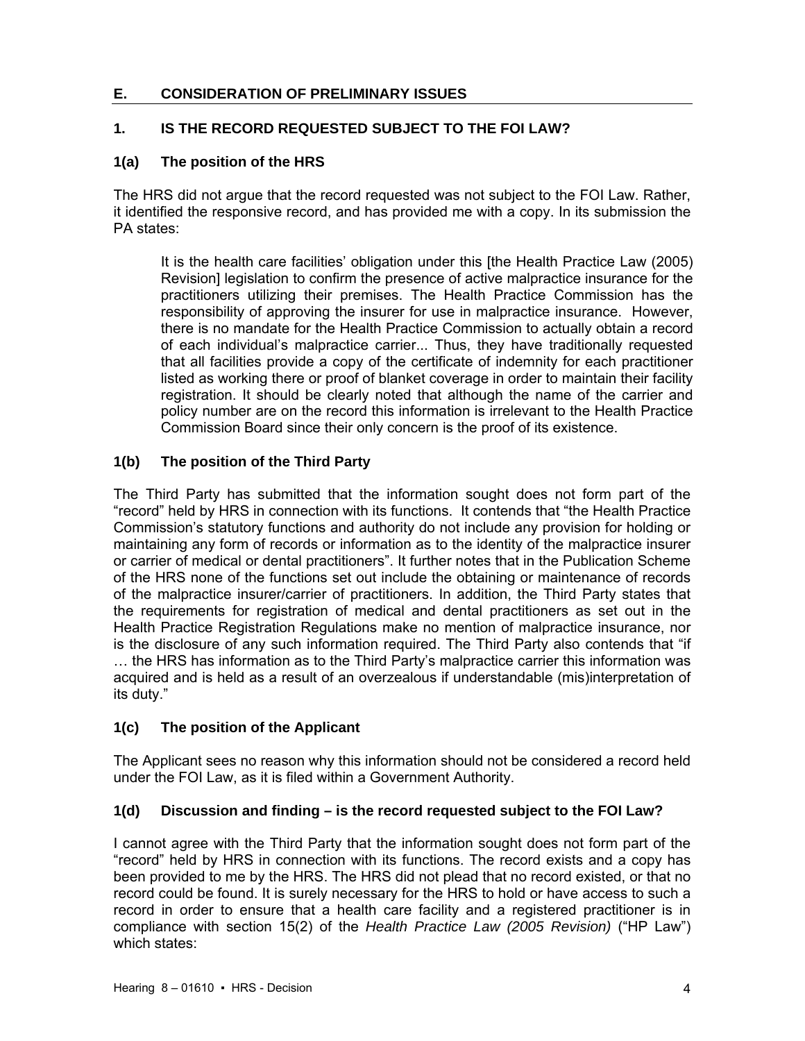# **E. CONSIDERATION OF PRELIMINARY ISSUES**

# **1. IS THE RECORD REQUESTED SUBJECT TO THE FOI LAW?**

## **1(a) The position of the HRS**

The HRS did not argue that the record requested was not subject to the FOI Law. Rather, it identified the responsive record, and has provided me with a copy. In its submission the PA states:

It is the health care facilities' obligation under this [the Health Practice Law (2005) Revision] legislation to confirm the presence of active malpractice insurance for the practitioners utilizing their premises. The Health Practice Commission has the responsibility of approving the insurer for use in malpractice insurance. However, there is no mandate for the Health Practice Commission to actually obtain a record of each individual's malpractice carrier... Thus, they have traditionally requested that all facilities provide a copy of the certificate of indemnity for each practitioner listed as working there or proof of blanket coverage in order to maintain their facility registration. It should be clearly noted that although the name of the carrier and policy number are on the record this information is irrelevant to the Health Practice Commission Board since their only concern is the proof of its existence.

## **1(b) The position of the Third Party**

The Third Party has submitted that the information sought does not form part of the "record" held by HRS in connection with its functions. It contends that "the Health Practice Commission's statutory functions and authority do not include any provision for holding or maintaining any form of records or information as to the identity of the malpractice insurer or carrier of medical or dental practitioners". It further notes that in the Publication Scheme of the HRS none of the functions set out include the obtaining or maintenance of records of the malpractice insurer/carrier of practitioners. In addition, the Third Party states that the requirements for registration of medical and dental practitioners as set out in the Health Practice Registration Regulations make no mention of malpractice insurance, nor is the disclosure of any such information required. The Third Party also contends that "if … the HRS has information as to the Third Party's malpractice carrier this information was acquired and is held as a result of an overzealous if understandable (mis)interpretation of its duty."

## **1(c) The position of the Applicant**

The Applicant sees no reason why this information should not be considered a record held under the FOI Law, as it is filed within a Government Authority.

## **1(d) Discussion and finding – is the record requested subject to the FOI Law?**

I cannot agree with the Third Party that the information sought does not form part of the "record" held by HRS in connection with its functions. The record exists and a copy has been provided to me by the HRS. The HRS did not plead that no record existed, or that no record could be found. It is surely necessary for the HRS to hold or have access to such a record in order to ensure that a health care facility and a registered practitioner is in compliance with section 15(2) of the *Health Practice Law (2005 Revision)* ("HP Law") which states: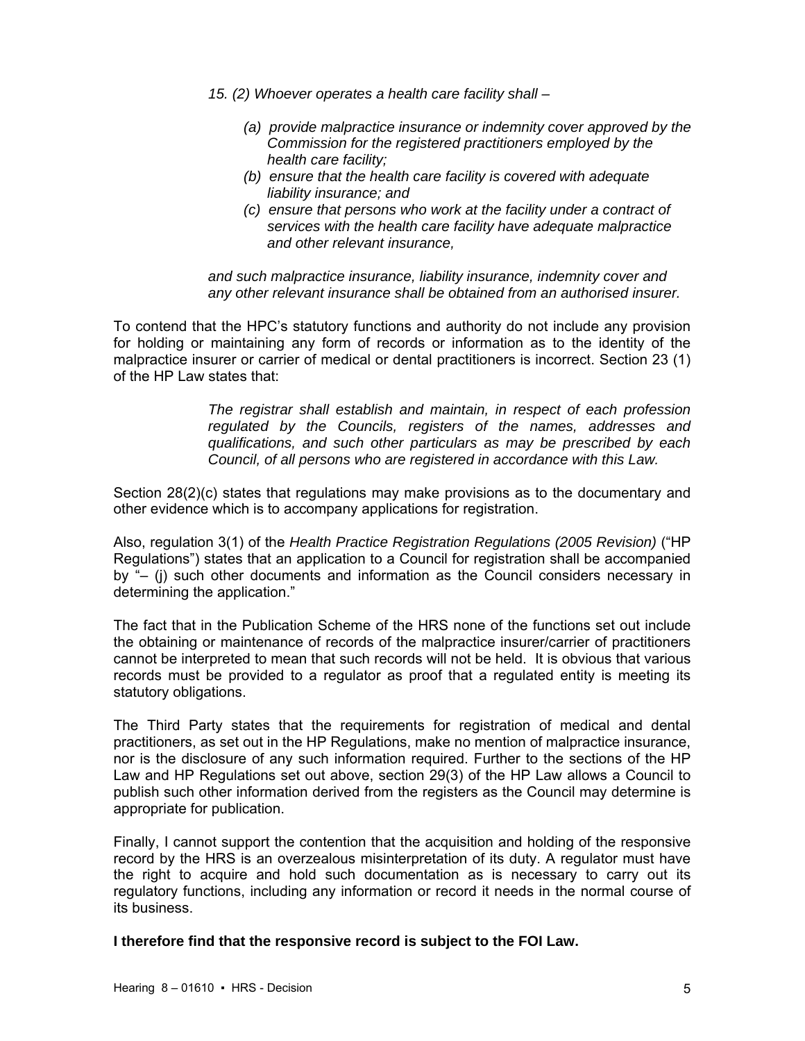- *15. (2) Whoever operates a health care facility shall* 
	- *(a) provide malpractice insurance or indemnity cover approved by the Commission for the registered practitioners employed by the health care facility;*
	- *(b) ensure that the health care facility is covered with adequate liability insurance; and*
	- *(c) ensure that persons who work at the facility under a contract of services with the health care facility have adequate malpractice and other relevant insurance,*

*and such malpractice insurance, liability insurance, indemnity cover and any other relevant insurance shall be obtained from an authorised insurer.* 

To contend that the HPC's statutory functions and authority do not include any provision for holding or maintaining any form of records or information as to the identity of the malpractice insurer or carrier of medical or dental practitioners is incorrect. Section 23 (1) of the HP Law states that:

> *The registrar shall establish and maintain, in respect of each profession regulated by the Councils, registers of the names, addresses and qualifications, and such other particulars as may be prescribed by each Council, of all persons who are registered in accordance with this Law.*

Section 28(2)(c) states that regulations may make provisions as to the documentary and other evidence which is to accompany applications for registration.

Also, regulation 3(1) of the *Health Practice Registration Regulations (2005 Revision)* ("HP Regulations") states that an application to a Council for registration shall be accompanied by "– (j) such other documents and information as the Council considers necessary in determining the application."

The fact that in the Publication Scheme of the HRS none of the functions set out include the obtaining or maintenance of records of the malpractice insurer/carrier of practitioners cannot be interpreted to mean that such records will not be held. It is obvious that various records must be provided to a regulator as proof that a regulated entity is meeting its statutory obligations.

The Third Party states that the requirements for registration of medical and dental practitioners, as set out in the HP Regulations, make no mention of malpractice insurance, nor is the disclosure of any such information required. Further to the sections of the HP Law and HP Regulations set out above, section 29(3) of the HP Law allows a Council to publish such other information derived from the registers as the Council may determine is appropriate for publication.

Finally, I cannot support the contention that the acquisition and holding of the responsive record by the HRS is an overzealous misinterpretation of its duty. A regulator must have the right to acquire and hold such documentation as is necessary to carry out its regulatory functions, including any information or record it needs in the normal course of its business.

**I therefore find that the responsive record is subject to the FOI Law.**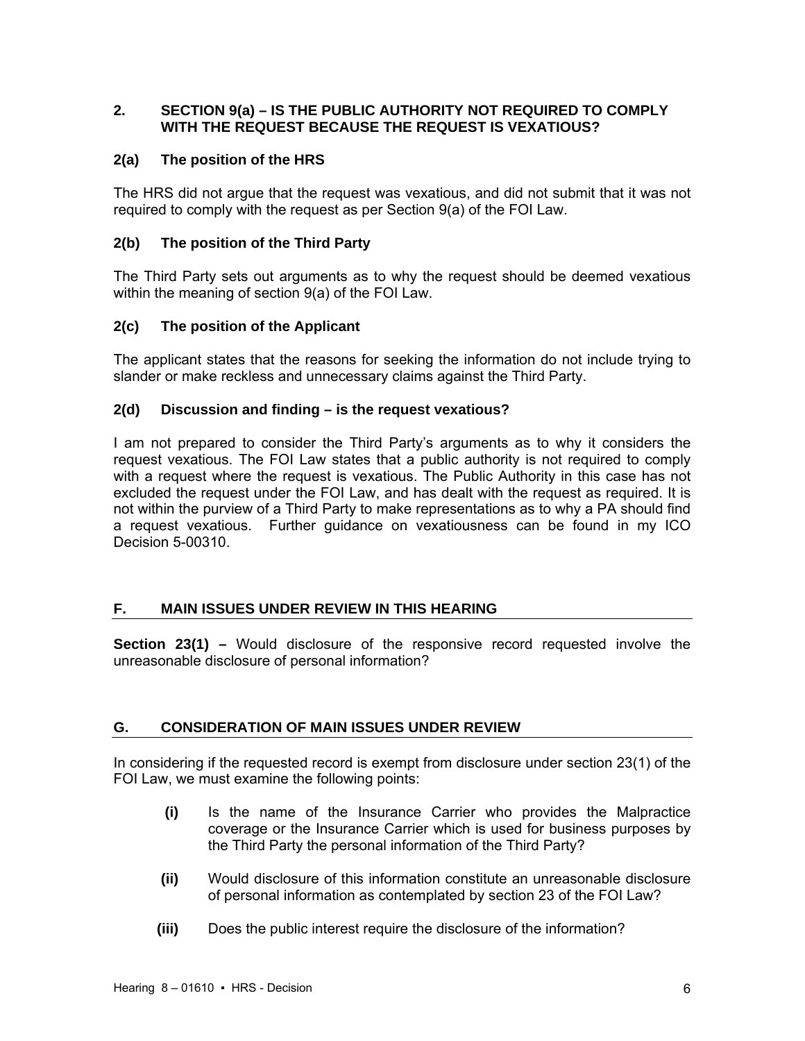# **2. SECTION 9(a) – IS THE PUBLIC AUTHORITY NOT REQUIRED TO COMPLY WITH THE REQUEST BECAUSE THE REQUEST IS VEXATIOUS?**

# **2(a) The position of the HRS**

The HRS did not argue that the request was vexatious, and did not submit that it was not required to comply with the request as per Section 9(a) of the FOI Law.

# **2(b) The position of the Third Party**

The Third Party sets out arguments as to why the request should be deemed vexatious within the meaning of section 9(a) of the FOI Law.

## **2(c) The position of the Applicant**

The applicant states that the reasons for seeking the information do not include trying to slander or make reckless and unnecessary claims against the Third Party.

## **2(d) Discussion and finding – is the request vexatious?**

I am not prepared to consider the Third Party's arguments as to why it considers the request vexatious. The FOI Law states that a public authority is not required to comply with a request where the request is vexatious. The Public Authority in this case has not excluded the request under the FOI Law, and has dealt with the request as required. It is not within the purview of a Third Party to make representations as to why a PA should find a request vexatious. Further guidance on vexatiousness can be found in my ICO Decision 5-00310.

## **F. MAIN ISSUES UNDER REVIEW IN THIS HEARING**

**Section 23(1) –** Would disclosure of the responsive record requested involve the unreasonable disclosure of personal information?

## **G. CONSIDERATION OF MAIN ISSUES UNDER REVIEW**

In considering if the requested record is exempt from disclosure under section 23(1) of the FOI Law, we must examine the following points:

- **(i)** Is the name of the Insurance Carrier who provides the Malpractice coverage or the Insurance Carrier which is used for business purposes by the Third Party the personal information of the Third Party?
- **(ii)** Would disclosure of this information constitute an unreasonable disclosure of personal information as contemplated by section 23 of the FOI Law?
- **(iii)** Does the public interest require the disclosure of the information?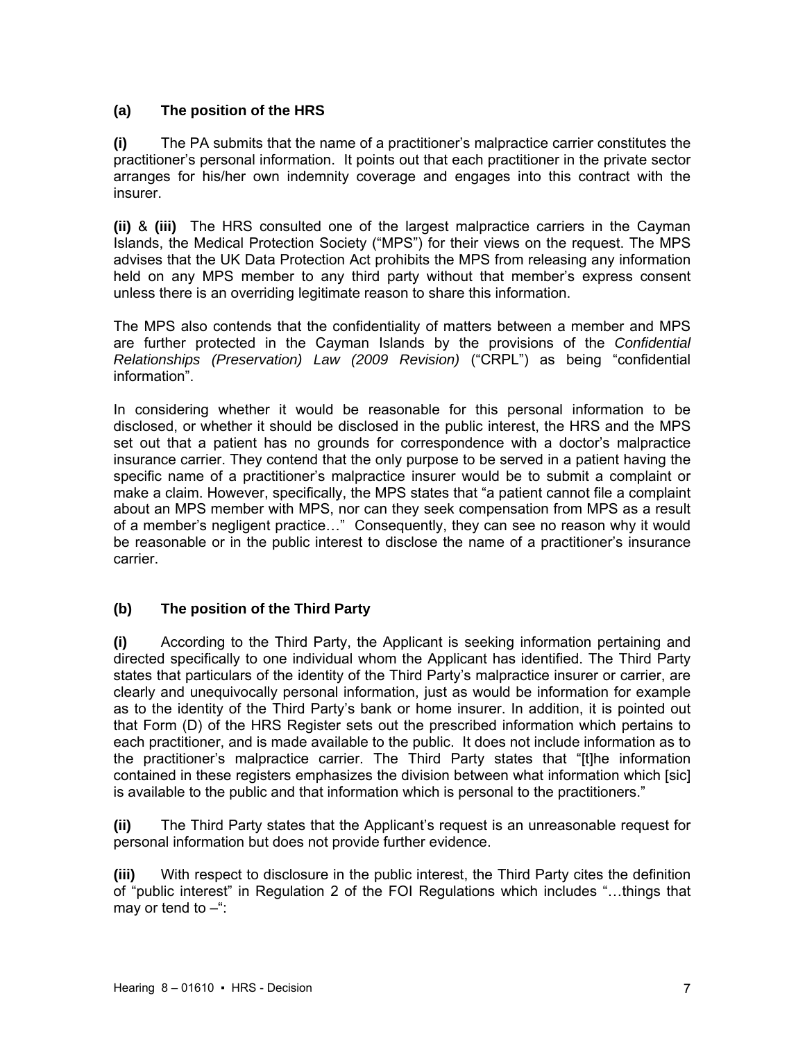# **(a) The position of the HRS**

**(i)** The PA submits that the name of a practitioner's malpractice carrier constitutes the practitioner's personal information. It points out that each practitioner in the private sector arranges for his/her own indemnity coverage and engages into this contract with the insurer.

**(ii)** & **(iii)** The HRS consulted one of the largest malpractice carriers in the Cayman Islands, the Medical Protection Society ("MPS") for their views on the request. The MPS advises that the UK Data Protection Act prohibits the MPS from releasing any information held on any MPS member to any third party without that member's express consent unless there is an overriding legitimate reason to share this information.

The MPS also contends that the confidentiality of matters between a member and MPS are further protected in the Cayman Islands by the provisions of the *Confidential Relationships (Preservation) Law (2009 Revision)* ("CRPL") as being "confidential information".

In considering whether it would be reasonable for this personal information to be disclosed, or whether it should be disclosed in the public interest, the HRS and the MPS set out that a patient has no grounds for correspondence with a doctor's malpractice insurance carrier. They contend that the only purpose to be served in a patient having the specific name of a practitioner's malpractice insurer would be to submit a complaint or make a claim. However, specifically, the MPS states that "a patient cannot file a complaint about an MPS member with MPS, nor can they seek compensation from MPS as a result of a member's negligent practice…" Consequently, they can see no reason why it would be reasonable or in the public interest to disclose the name of a practitioner's insurance carrier.

## **(b) The position of the Third Party**

**(i)** According to the Third Party, the Applicant is seeking information pertaining and directed specifically to one individual whom the Applicant has identified. The Third Party states that particulars of the identity of the Third Party's malpractice insurer or carrier, are clearly and unequivocally personal information, just as would be information for example as to the identity of the Third Party's bank or home insurer. In addition, it is pointed out that Form (D) of the HRS Register sets out the prescribed information which pertains to each practitioner, and is made available to the public. It does not include information as to the practitioner's malpractice carrier. The Third Party states that "[t]he information contained in these registers emphasizes the division between what information which [sic] is available to the public and that information which is personal to the practitioners."

**(ii)** The Third Party states that the Applicant's request is an unreasonable request for personal information but does not provide further evidence.

**(iii)** With respect to disclosure in the public interest, the Third Party cites the definition of "public interest" in Regulation 2 of the FOI Regulations which includes "…things that may or tend to  $-\dddot{}$ :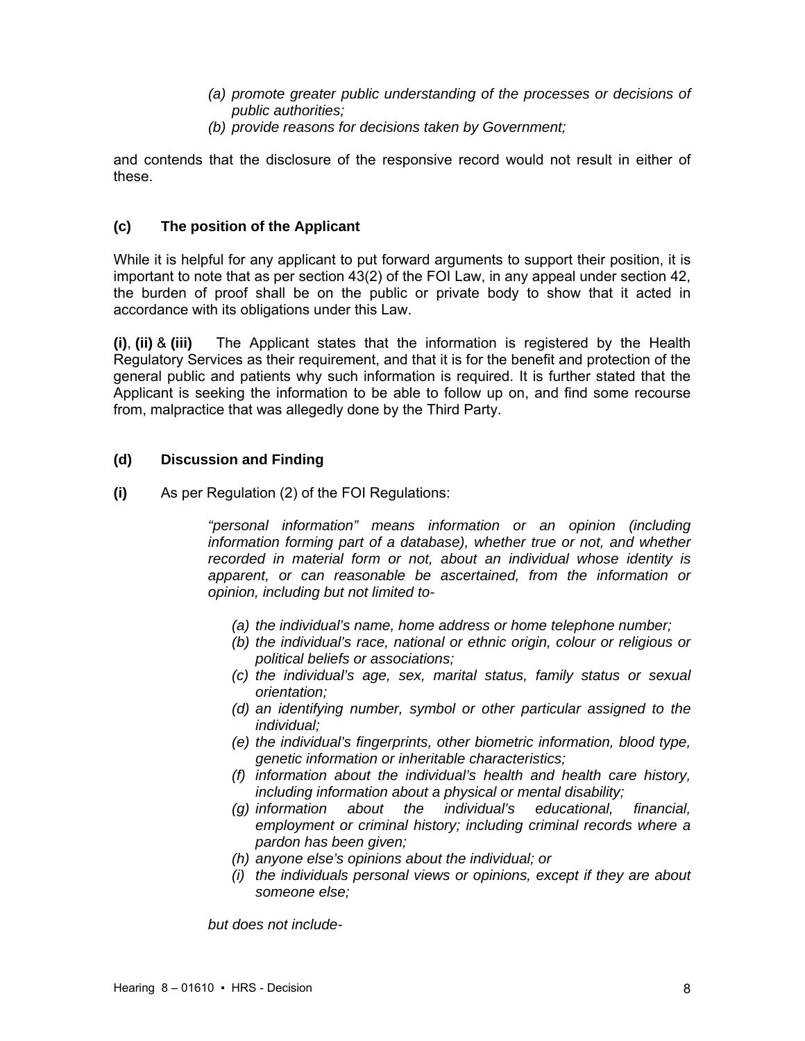- *(a) promote greater public understanding of the processes or decisions of public authorities;*
- *(b) provide reasons for decisions taken by Government;*

and contends that the disclosure of the responsive record would not result in either of these.

## **(c) The position of the Applicant**

While it is helpful for any applicant to put forward arguments to support their position, it is important to note that as per section 43(2) of the FOI Law, in any appeal under section 42, the burden of proof shall be on the public or private body to show that it acted in accordance with its obligations under this Law.

**(i)**, **(ii)** & **(iii)** The Applicant states that the information is registered by the Health Regulatory Services as their requirement, and that it is for the benefit and protection of the general public and patients why such information is required. It is further stated that the Applicant is seeking the information to be able to follow up on, and find some recourse from, malpractice that was allegedly done by the Third Party.

# **(d) Discussion and Finding**

**(i)** As per Regulation (2) of the FOI Regulations:

*"personal information" means information or an opinion (including information forming part of a database), whether true or not, and whether recorded in material form or not, about an individual whose identity is apparent, or can reasonable be ascertained, from the information or opinion, including but not limited to-* 

- *(a) the individual's name, home address or home telephone number;*
- *(b) the individual's race, national or ethnic origin, colour or religious or political beliefs or associations;*
- *(c) the individual's age, sex, marital status, family status or sexual orientation;*
- *(d) an identifying number, symbol or other particular assigned to the individual;*
- *(e) the individual's fingerprints, other biometric information, blood type, genetic information or inheritable characteristics;*
- *(f) information about the individual's health and health care history, including information about a physical or mental disability;*
- *(g) information about the individual's educational, financial, employment or criminal history; including criminal records where a pardon has been given;*
- *(h) anyone else's opinions about the individual; or*
- *(i) the individuals personal views or opinions, except if they are about someone else;*

*but does not include-*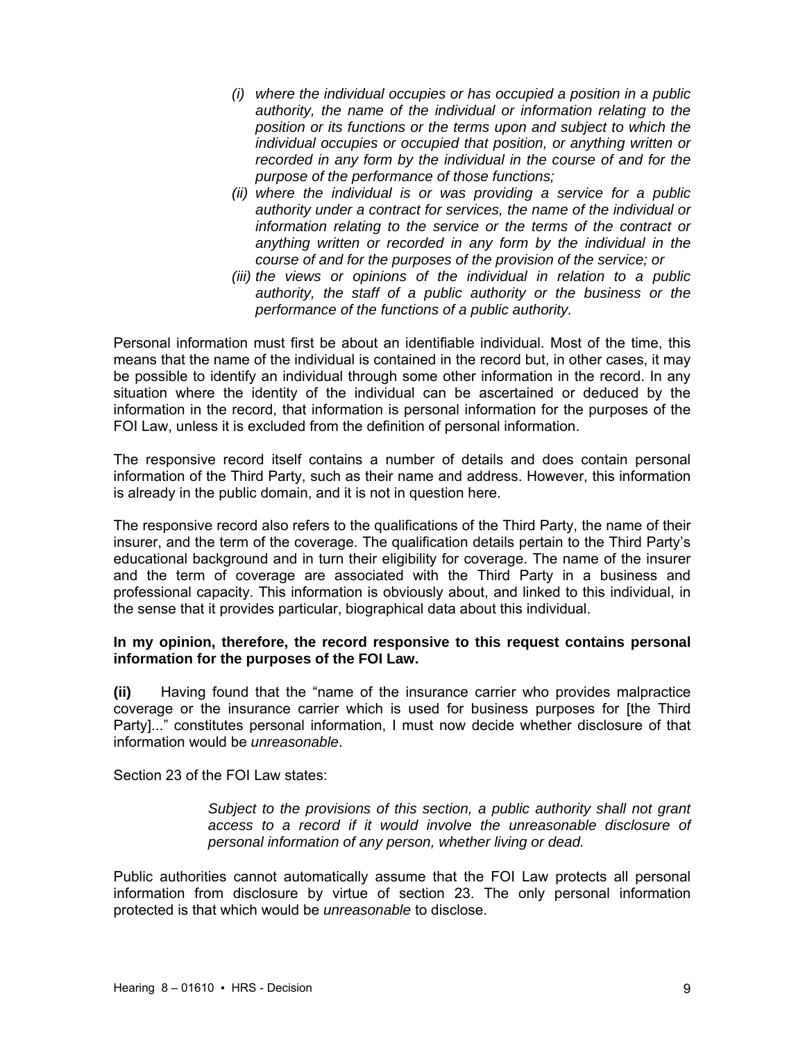- *(i) where the individual occupies or has occupied a position in a public authority, the name of the individual or information relating to the position or its functions or the terms upon and subject to which the individual occupies or occupied that position, or anything written or recorded in any form by the individual in the course of and for the purpose of the performance of those functions;*
- *(ii) where the individual is or was providing a service for a public authority under a contract for services, the name of the individual or information relating to the service or the terms of the contract or anything written or recorded in any form by the individual in the course of and for the purposes of the provision of the service; or*
- *(iii) the views or opinions of the individual in relation to a public authority, the staff of a public authority or the business or the performance of the functions of a public authority.*

Personal information must first be about an identifiable individual. Most of the time, this means that the name of the individual is contained in the record but, in other cases, it may be possible to identify an individual through some other information in the record. In any situation where the identity of the individual can be ascertained or deduced by the information in the record, that information is personal information for the purposes of the FOI Law, unless it is excluded from the definition of personal information.

The responsive record itself contains a number of details and does contain personal information of the Third Party, such as their name and address. However, this information is already in the public domain, and it is not in question here.

The responsive record also refers to the qualifications of the Third Party, the name of their insurer, and the term of the coverage. The qualification details pertain to the Third Party's educational background and in turn their eligibility for coverage. The name of the insurer and the term of coverage are associated with the Third Party in a business and professional capacity. This information is obviously about, and linked to this individual, in the sense that it provides particular, biographical data about this individual.

## **In my opinion, therefore, the record responsive to this request contains personal information for the purposes of the FOI Law.**

**(ii)** Having found that the "name of the insurance carrier who provides malpractice coverage or the insurance carrier which is used for business purposes for [the Third Party]..." constitutes personal information, I must now decide whether disclosure of that information would be *unreasonable*.

Section 23 of the FOI Law states:

*Subject to the provisions of this section, a public authority shall not grant access to a record if it would involve the unreasonable disclosure of personal information of any person, whether living or dead.* 

Public authorities cannot automatically assume that the FOI Law protects all personal information from disclosure by virtue of section 23. The only personal information protected is that which would be *unreasonable* to disclose.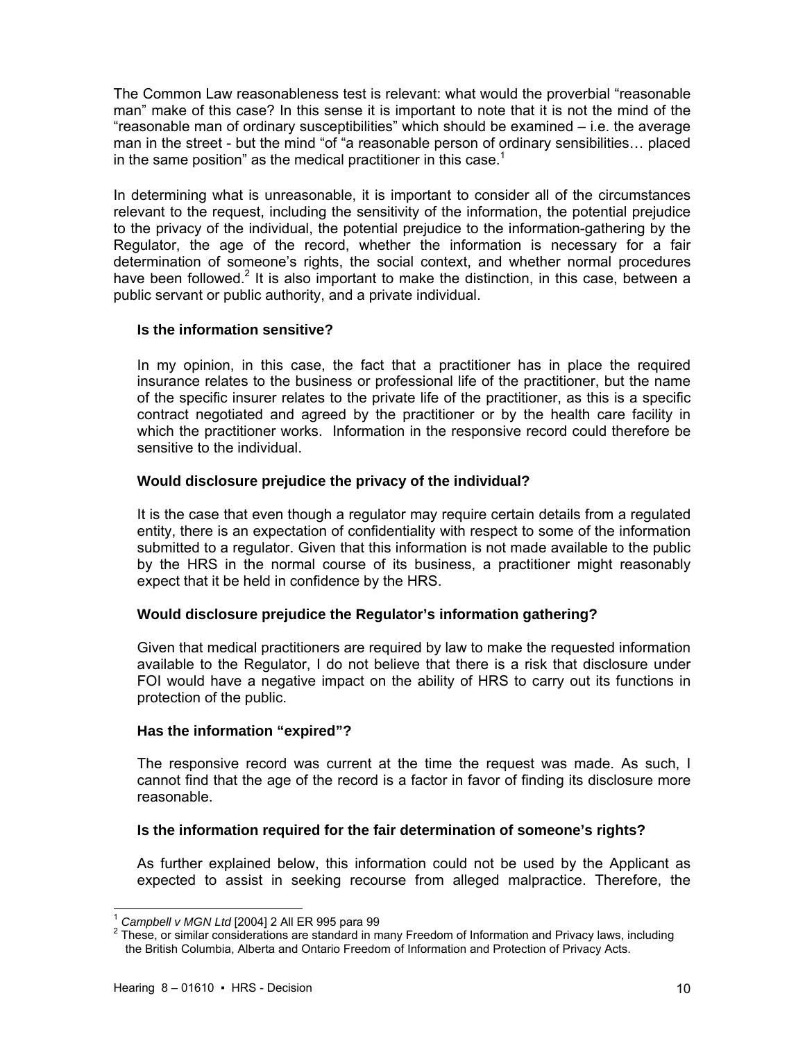The Common Law reasonableness test is relevant: what would the proverbial "reasonable man" make of this case? In this sense it is important to note that it is not the mind of the "reasonable man of ordinary susceptibilities" which should be examined – i.e. the average man in the street - but the mind "of "a reasonable person of ordinary sensibilities… placed in the same position" as the medical practitioner in this case. $1$ 

In determining what is unreasonable, it is important to consider all of the circumstances relevant to the request, including the sensitivity of the information, the potential prejudice to the privacy of the individual, the potential prejudice to the information-gathering by the Regulator, the age of the record, whether the information is necessary for a fair determination of someone's rights, the social context, and whether normal procedures have been followed.<sup>2</sup> It is also important to make the distinction, in this case, between a public servant or public authority, and a private individual.

## **Is the information sensitive?**

In my opinion, in this case, the fact that a practitioner has in place the required insurance relates to the business or professional life of the practitioner, but the name of the specific insurer relates to the private life of the practitioner, as this is a specific contract negotiated and agreed by the practitioner or by the health care facility in which the practitioner works. Information in the responsive record could therefore be sensitive to the individual.

## **Would disclosure prejudice the privacy of the individual?**

It is the case that even though a regulator may require certain details from a regulated entity, there is an expectation of confidentiality with respect to some of the information submitted to a regulator. Given that this information is not made available to the public by the HRS in the normal course of its business, a practitioner might reasonably expect that it be held in confidence by the HRS.

## **Would disclosure prejudice the Regulator's information gathering?**

Given that medical practitioners are required by law to make the requested information available to the Regulator, I do not believe that there is a risk that disclosure under FOI would have a negative impact on the ability of HRS to carry out its functions in protection of the public.

## **Has the information "expired"?**

The responsive record was current at the time the request was made. As such, I cannot find that the age of the record is a factor in favor of finding its disclosure more reasonable.

### **Is the information required for the fair determination of someone's rights?**

As further explained below, this information could not be used by the Applicant as expected to assist in seeking recourse from alleged malpractice. Therefore, the

l <sup>1</sup> Campbell v MGN Ltd [2004] 2 All ER 995 para 99<br><sup>2</sup> These or similar considerations are standard in m

These, or similar considerations are standard in many Freedom of Information and Privacy laws, including the British Columbia, Alberta and Ontario Freedom of Information and Protection of Privacy Acts.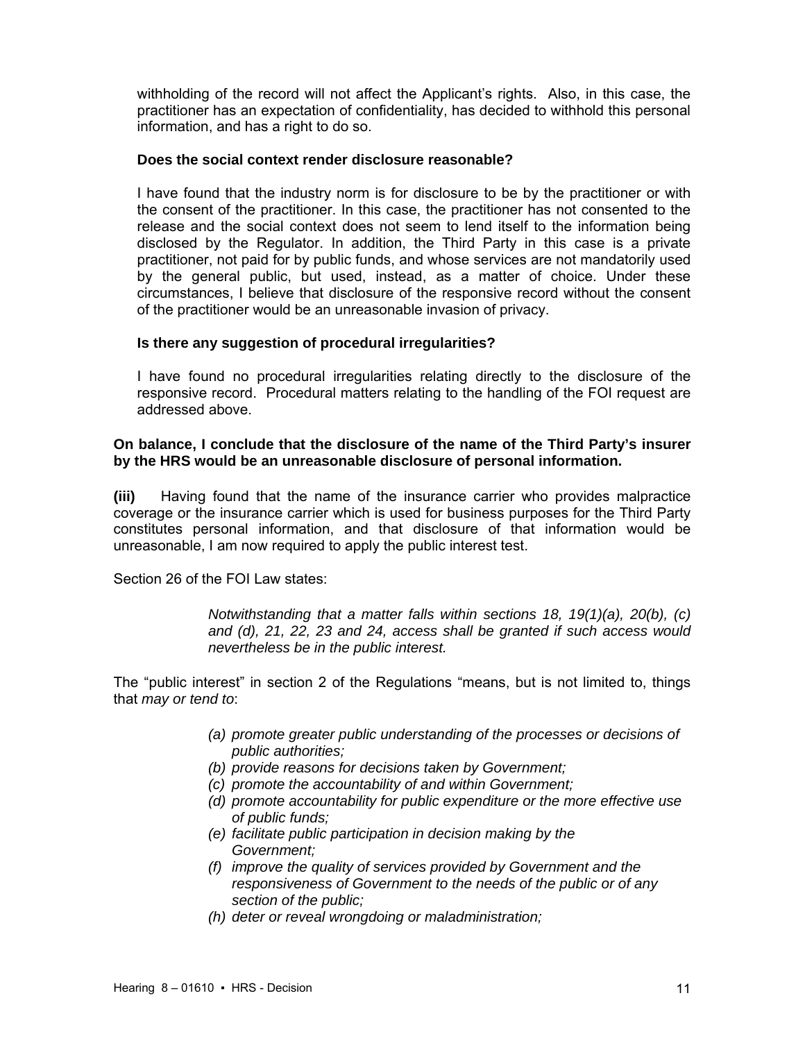withholding of the record will not affect the Applicant's rights. Also, in this case, the practitioner has an expectation of confidentiality, has decided to withhold this personal information, and has a right to do so.

### **Does the social context render disclosure reasonable?**

I have found that the industry norm is for disclosure to be by the practitioner or with the consent of the practitioner. In this case, the practitioner has not consented to the release and the social context does not seem to lend itself to the information being disclosed by the Regulator. In addition, the Third Party in this case is a private practitioner, not paid for by public funds, and whose services are not mandatorily used by the general public, but used, instead, as a matter of choice. Under these circumstances, I believe that disclosure of the responsive record without the consent of the practitioner would be an unreasonable invasion of privacy.

## **Is there any suggestion of procedural irregularities?**

I have found no procedural irregularities relating directly to the disclosure of the responsive record. Procedural matters relating to the handling of the FOI request are addressed above.

## **On balance, I conclude that the disclosure of the name of the Third Party's insurer by the HRS would be an unreasonable disclosure of personal information.**

**(iii)** Having found that the name of the insurance carrier who provides malpractice coverage or the insurance carrier which is used for business purposes for the Third Party constitutes personal information, and that disclosure of that information would be unreasonable, I am now required to apply the public interest test.

Section 26 of the FOI Law states:

*Notwithstanding that a matter falls within sections 18, 19(1)(a), 20(b), (c) and (d), 21, 22, 23 and 24, access shall be granted if such access would nevertheless be in the public interest.* 

The "public interest" in section 2 of the Regulations "means, but is not limited to, things that *may or tend to*:

- *(a) promote greater public understanding of the processes or decisions of public authorities;*
- *(b) provide reasons for decisions taken by Government;*
- *(c) promote the accountability of and within Government;*
- *(d) promote accountability for public expenditure or the more effective use of public funds;*
- *(e) facilitate public participation in decision making by the Government;*
- *(f) improve the quality of services provided by Government and the responsiveness of Government to the needs of the public or of any section of the public;*
- *(h) deter or reveal wrongdoing or maladministration;*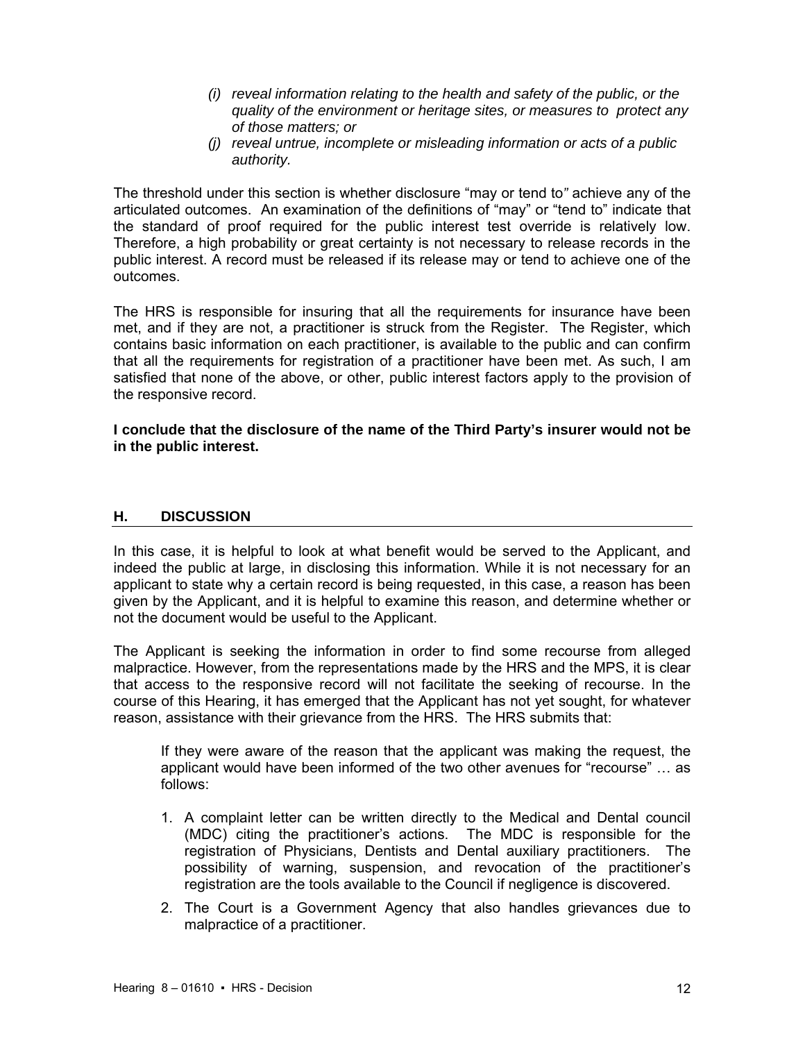- *(i) reveal information relating to the health and safety of the public, or the quality of the environment or heritage sites, or measures to protect any of those matters; or*
- *(j) reveal untrue, incomplete or misleading information or acts of a public authority.*

The threshold under this section is whether disclosure "may or tend to*"* achieve any of the articulated outcomes. An examination of the definitions of "may" or "tend to" indicate that the standard of proof required for the public interest test override is relatively low. Therefore, a high probability or great certainty is not necessary to release records in the public interest. A record must be released if its release may or tend to achieve one of the outcomes.

The HRS is responsible for insuring that all the requirements for insurance have been met, and if they are not, a practitioner is struck from the Register. The Register, which contains basic information on each practitioner, is available to the public and can confirm that all the requirements for registration of a practitioner have been met. As such, I am satisfied that none of the above, or other, public interest factors apply to the provision of the responsive record.

**I conclude that the disclosure of the name of the Third Party's insurer would not be in the public interest.** 

## **H. DISCUSSION**

In this case, it is helpful to look at what benefit would be served to the Applicant, and indeed the public at large, in disclosing this information. While it is not necessary for an applicant to state why a certain record is being requested, in this case, a reason has been given by the Applicant, and it is helpful to examine this reason, and determine whether or not the document would be useful to the Applicant.

The Applicant is seeking the information in order to find some recourse from alleged malpractice. However, from the representations made by the HRS and the MPS, it is clear that access to the responsive record will not facilitate the seeking of recourse. In the course of this Hearing, it has emerged that the Applicant has not yet sought, for whatever reason, assistance with their grievance from the HRS. The HRS submits that:

If they were aware of the reason that the applicant was making the request, the applicant would have been informed of the two other avenues for "recourse" … as follows:

- 1. A complaint letter can be written directly to the Medical and Dental council (MDC) citing the practitioner's actions. The MDC is responsible for the registration of Physicians, Dentists and Dental auxiliary practitioners. The possibility of warning, suspension, and revocation of the practitioner's registration are the tools available to the Council if negligence is discovered.
- 2. The Court is a Government Agency that also handles grievances due to malpractice of a practitioner.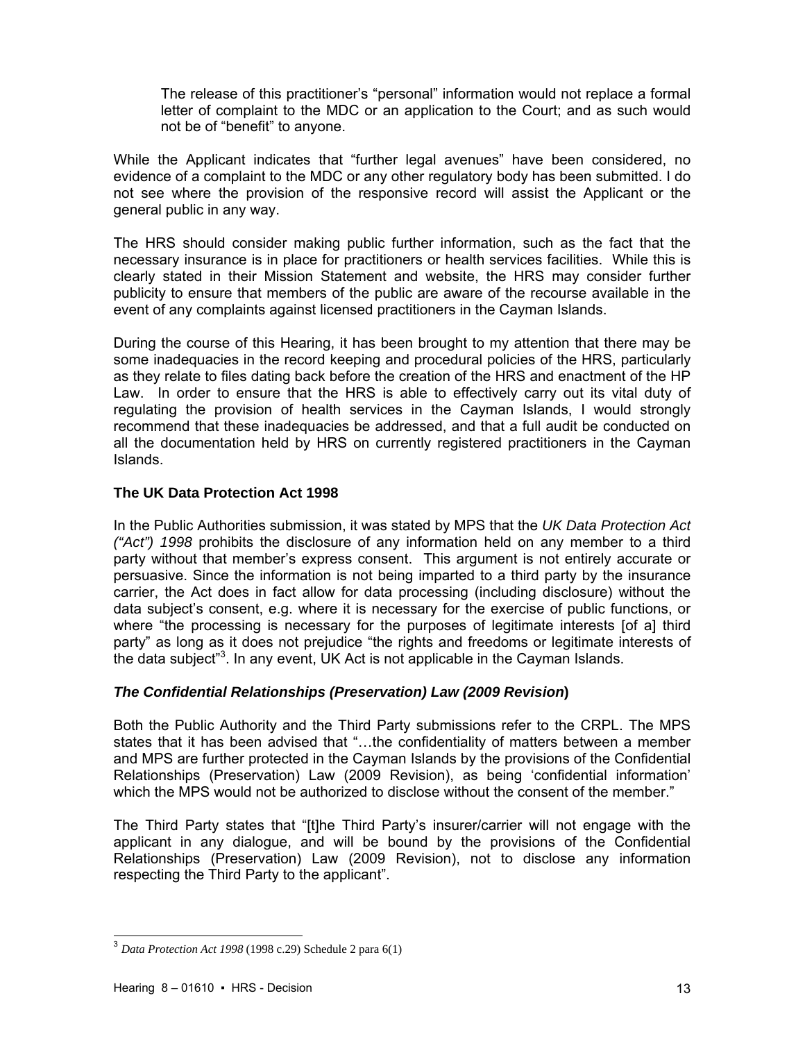The release of this practitioner's "personal" information would not replace a formal letter of complaint to the MDC or an application to the Court; and as such would not be of "benefit" to anyone.

While the Applicant indicates that "further legal avenues" have been considered, no evidence of a complaint to the MDC or any other regulatory body has been submitted. I do not see where the provision of the responsive record will assist the Applicant or the general public in any way.

The HRS should consider making public further information, such as the fact that the necessary insurance is in place for practitioners or health services facilities. While this is clearly stated in their Mission Statement and website, the HRS may consider further publicity to ensure that members of the public are aware of the recourse available in the event of any complaints against licensed practitioners in the Cayman Islands.

During the course of this Hearing, it has been brought to my attention that there may be some inadequacies in the record keeping and procedural policies of the HRS, particularly as they relate to files dating back before the creation of the HRS and enactment of the HP Law. In order to ensure that the HRS is able to effectively carry out its vital duty of regulating the provision of health services in the Cayman Islands, I would strongly recommend that these inadequacies be addressed, and that a full audit be conducted on all the documentation held by HRS on currently registered practitioners in the Cayman Islands.

# **The UK Data Protection Act 1998**

In the Public Authorities submission, it was stated by MPS that the *UK Data Protection Act ("Act") 1998* prohibits the disclosure of any information held on any member to a third party without that member's express consent. This argument is not entirely accurate or persuasive. Since the information is not being imparted to a third party by the insurance carrier, the Act does in fact allow for data processing (including disclosure) without the data subject's consent, e.g. where it is necessary for the exercise of public functions, or where "the processing is necessary for the purposes of legitimate interests [of a] third party" as long as it does not prejudice "the rights and freedoms or legitimate interests of the data subject<sup>"3</sup>. In any event, UK Act is not applicable in the Cayman Islands.

## *The Confidential Relationships (Preservation) Law (2009 Revision***)**

Both the Public Authority and the Third Party submissions refer to the CRPL. The MPS states that it has been advised that "…the confidentiality of matters between a member and MPS are further protected in the Cayman Islands by the provisions of the Confidential Relationships (Preservation) Law (2009 Revision), as being 'confidential information' which the MPS would not be authorized to disclose without the consent of the member."

The Third Party states that "[t]he Third Party's insurer/carrier will not engage with the applicant in any dialogue, and will be bound by the provisions of the Confidential Relationships (Preservation) Law (2009 Revision), not to disclose any information respecting the Third Party to the applicant".

 $\overline{a}$ 

<sup>3</sup> *Data Protection Act 1998* (1998 c.29) Schedule 2 para 6(1)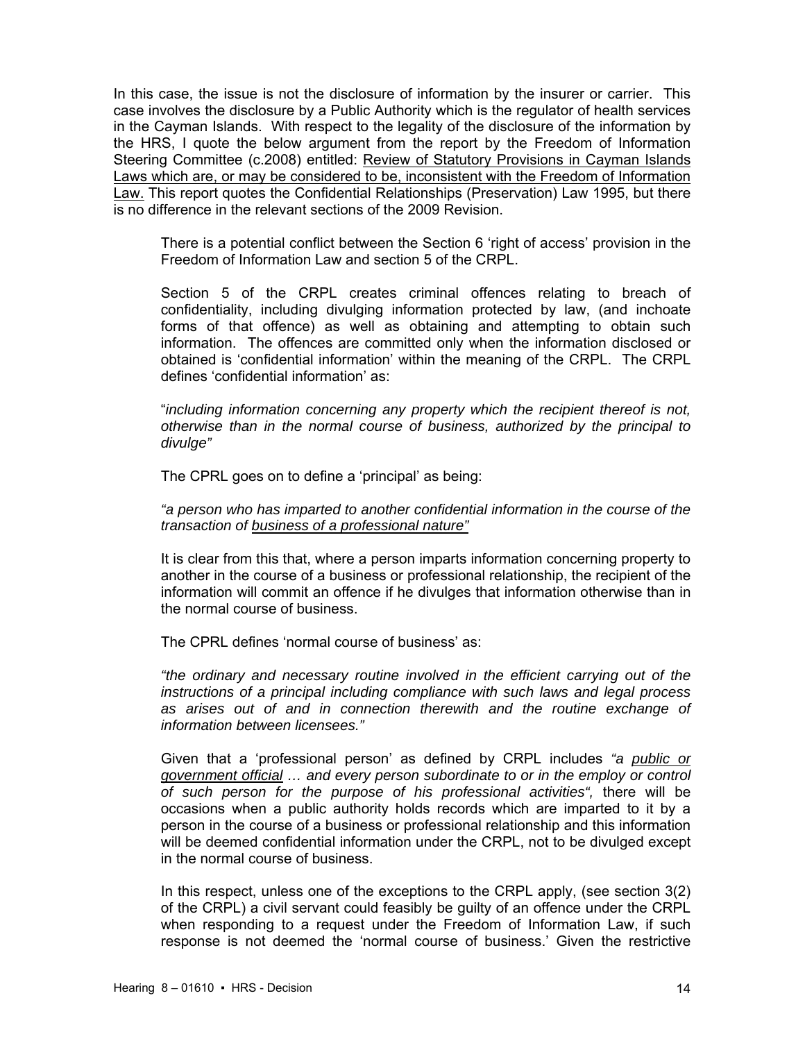In this case, the issue is not the disclosure of information by the insurer or carrier. This case involves the disclosure by a Public Authority which is the regulator of health services in the Cayman Islands. With respect to the legality of the disclosure of the information by the HRS, I quote the below argument from the report by the Freedom of Information Steering Committee (c.2008) entitled: Review of Statutory Provisions in Cayman Islands Laws which are, or may be considered to be, inconsistent with the Freedom of Information Law. This report quotes the Confidential Relationships (Preservation) Law 1995, but there is no difference in the relevant sections of the 2009 Revision.

There is a potential conflict between the Section 6 'right of access' provision in the Freedom of Information Law and section 5 of the CRPL.

Section 5 of the CRPL creates criminal offences relating to breach of confidentiality, including divulging information protected by law, (and inchoate forms of that offence) as well as obtaining and attempting to obtain such information. The offences are committed only when the information disclosed or obtained is 'confidential information' within the meaning of the CRPL. The CRPL defines 'confidential information' as:

"*including information concerning any property which the recipient thereof is not, otherwise than in the normal course of business, authorized by the principal to divulge"* 

The CPRL goes on to define a 'principal' as being:

*"a person who has imparted to another confidential information in the course of the transaction of business of a professional nature"*

It is clear from this that, where a person imparts information concerning property to another in the course of a business or professional relationship, the recipient of the information will commit an offence if he divulges that information otherwise than in the normal course of business.

The CPRL defines 'normal course of business' as:

*"the ordinary and necessary routine involved in the efficient carrying out of the instructions of a principal including compliance with such laws and legal process as arises out of and in connection therewith and the routine exchange of information between licensees."* 

Given that a 'professional person' as defined by CRPL includes *"a public or government official … and every person subordinate to or in the employ or control of such person for the purpose of his professional activities",* there will be occasions when a public authority holds records which are imparted to it by a person in the course of a business or professional relationship and this information will be deemed confidential information under the CRPL, not to be divulged except in the normal course of business.

In this respect, unless one of the exceptions to the CRPL apply, (see section 3(2) of the CRPL) a civil servant could feasibly be guilty of an offence under the CRPL when responding to a request under the Freedom of Information Law, if such response is not deemed the 'normal course of business.' Given the restrictive